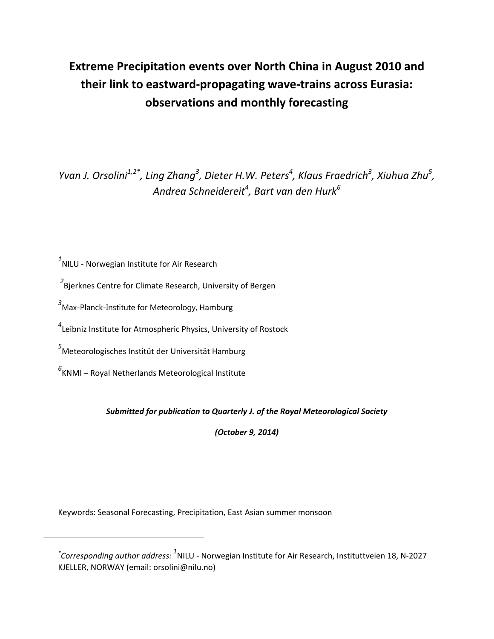# **Extreme Precipitation events over North China in August 2010 and their link to eastward‐propagating wave‐trains across Eurasia: observations and monthly forecasting**

Yvan J. Orsolini<sup>1,2\*</sup>, Ling Zhang<sup>3</sup>, Dieter H.W. Peters<sup>4</sup>, Klaus Fraedrich<sup>3</sup>, Xiuhua Zhu<sup>5</sup>, *Andrea Schneidereit<sup>4</sup> , Bart van den Hurk6*

*1* NILU ‐ Norwegian Institute for Air Research

*2* Bjerknes Centre for Climate Research, University of Bergen

*3* Max-Planck-Institute for Meteorology, Hamburg

*4* Leibniz Institute for Atmospheric Physics, University of Rostock

*5* Meteorologisches Institüt der Universität Hamburg

*6* KNMI – Royal Netherlands Meteorological Institute

*Submitted for publication to Quarterly J. of the Royal Meteorological Society* 

*(October 9, 2014)*

Keywords: Seasonal Forecasting, Precipitation, East Asian summer monsoon

*<sup>\*</sup> Corresponding author address: <sup>1</sup>* NILU ‐ Norwegian Institute for Air Research, Instituttveien 18, N‐2027 KJELLER, NORWAY (email: orsolini@nilu.no)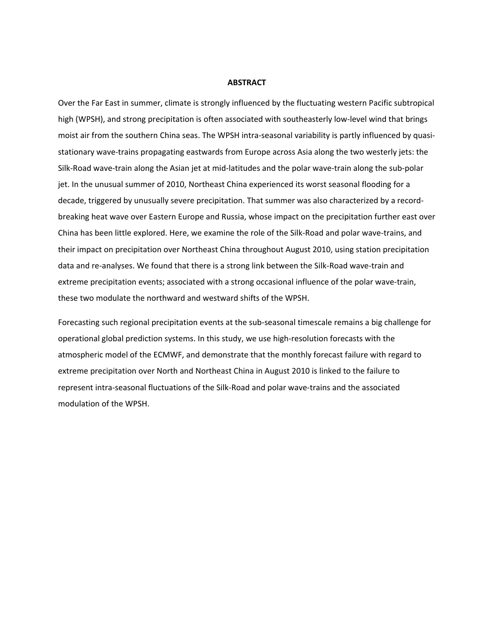#### **ABSTRACT**

Over the Far East in summer, climate is strongly influenced by the fluctuating western Pacific subtropical high (WPSH), and strong precipitation is often associated with southeasterly low-level wind that brings moist air from the southern China seas. The WPSH intra‐seasonal variability is partly influenced by quasi‐ stationary wave‐trains propagating eastwards from Europe across Asia along the two westerly jets: the Silk‐Road wave‐train along the Asian jet at mid‐latitudes and the polar wave‐train along the sub‐polar jet. In the unusual summer of 2010, Northeast China experienced its worst seasonal flooding for a decade, triggered by unusually severe precipitation. That summer was also characterized by a record‐ breaking heat wave over Eastern Europe and Russia, whose impact on the precipitation further east over China has been little explored. Here, we examine the role of the Silk‐Road and polar wave‐trains, and their impact on precipitation over Northeast China throughout August 2010, using station precipitation data and re‐analyses. We found that there is a strong link between the Silk‐Road wave‐train and extreme precipitation events; associated with a strong occasional influence of the polar wave-train, these two modulate the northward and westward shifts of the WPSH.

Forecasting such regional precipitation events at the sub‐seasonal timescale remains a big challenge for operational global prediction systems. In this study, we use high‐resolution forecasts with the atmospheric model of the ECMWF, and demonstrate that the monthly forecast failure with regard to extreme precipitation over North and Northeast China in August 2010 is linked to the failure to represent intra‐seasonal fluctuations of the Silk‐Road and polar wave‐trains and the associated modulation of the WPSH.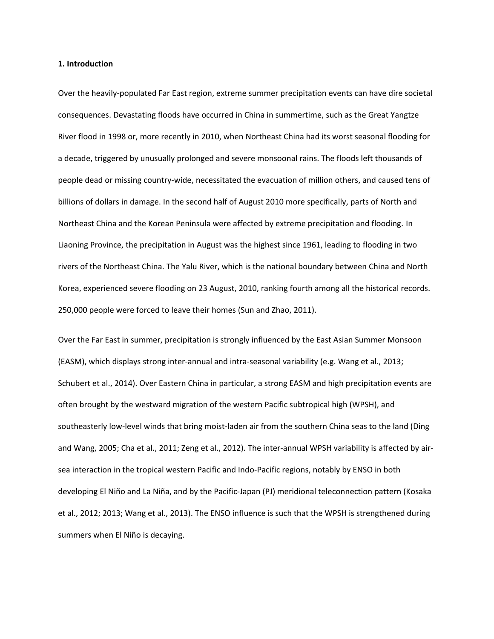#### **1. Introduction**

Over the heavily‐populated Far East region, extreme summer precipitation events can have dire societal consequences. Devastating floods have occurred in China in summertime, such as the Great Yangtze River flood in 1998 or, more recently in 2010, when Northeast China had its worst seasonal flooding for a decade, triggered by unusually prolonged and severe monsoonal rains. The floods left thousands of people dead or missing country‐wide, necessitated the evacuation of million others, and caused tens of billions of dollars in damage. In the second half of August 2010 more specifically, parts of North and Northeast China and the Korean Peninsula were affected by extreme precipitation and flooding. In Liaoning Province, the precipitation in August was the highest since 1961, leading to flooding in two rivers of the Northeast China. The Yalu River, which is the national boundary between China and North Korea, experienced severe flooding on 23 August, 2010, ranking fourth among all the historical records. 250,000 people were forced to leave their homes (Sun and Zhao, 2011).

Over the Far East in summer, precipitation is strongly influenced by the East Asian Summer Monsoon (EASM), which displays strong inter‐annual and intra‐seasonal variability (e.g. Wang et al., 2013; Schubert et al., 2014). Over Eastern China in particular, a strong EASM and high precipitation events are often brought by the westward migration of the western Pacific subtropical high (WPSH), and southeasterly low-level winds that bring moist-laden air from the southern China seas to the land (Ding and Wang, 2005; Cha et al., 2011; Zeng et al., 2012). The inter-annual WPSH variability is affected by airsea interaction in the tropical western Pacific and Indo‐Pacific regions, notably by ENSO in both developing El Niño and La Niña, and by the Pacific‐Japan (PJ) meridional teleconnection pattern (Kosaka et al., 2012; 2013; Wang et al., 2013). The ENSO influence is such that the WPSH is strengthened during summers when El Niño is decaying.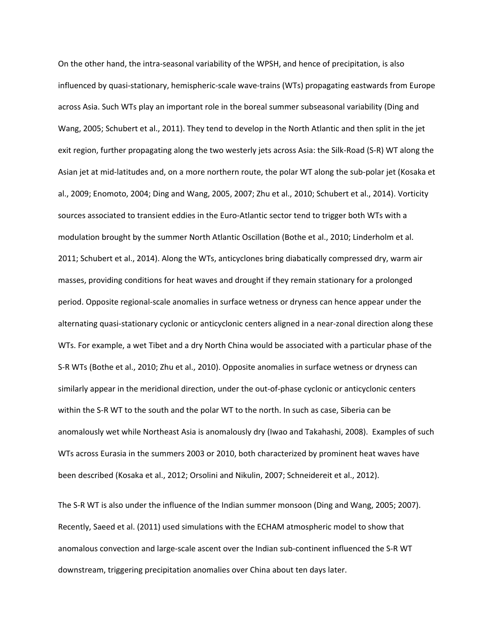On the other hand, the intra‐seasonal variability of the WPSH, and hence of precipitation, is also influenced by quasi‐stationary, hemispheric‐scale wave‐trains (WTs) propagating eastwards from Europe across Asia. Such WTs play an important role in the boreal summer subseasonal variability (Ding and Wang, 2005; Schubert et al., 2011). They tend to develop in the North Atlantic and then split in the jet exit region, further propagating along the two westerly jets across Asia: the Silk‐Road (S‐R) WT along the Asian jet at mid‐latitudes and, on a more northern route, the polar WT along the sub‐polar jet (Kosaka et al., 2009; Enomoto, 2004; Ding and Wang, 2005, 2007; Zhu et al., 2010; Schubert et al., 2014). Vorticity sources associated to transient eddies in the Euro-Atlantic sector tend to trigger both WTs with a modulation brought by the summer North Atlantic Oscillation (Bothe et al., 2010; Linderholm et al. 2011; Schubert et al., 2014). Along the WTs, anticyclones bring diabatically compressed dry, warm air masses, providing conditions for heat waves and drought if they remain stationary for a prolonged period. Opposite regional‐scale anomalies in surface wetness or dryness can hence appear under the alternating quasi-stationary cyclonic or anticyclonic centers aligned in a near-zonal direction along these WTs. For example, a wet Tibet and a dry North China would be associated with a particular phase of the S‐R WTs (Bothe et al., 2010; Zhu et al., 2010). Opposite anomalies in surface wetness or dryness can similarly appear in the meridional direction, under the out-of-phase cyclonic or anticyclonic centers within the S-R WT to the south and the polar WT to the north. In such as case, Siberia can be anomalously wet while Northeast Asia is anomalously dry (Iwao and Takahashi, 2008). Examples of such WTs across Eurasia in the summers 2003 or 2010, both characterized by prominent heat waves have been described (Kosaka et al., 2012; Orsolini and Nikulin, 2007; Schneidereit et al., 2012).

The S‐R WT is also under the influence of the Indian summer monsoon (Ding and Wang, 2005; 2007). Recently, Saeed et al. (2011) used simulations with the ECHAM atmospheric model to show that anomalous convection and large‐scale ascent over the Indian sub‐continent influenced the S‐R WT downstream, triggering precipitation anomalies over China about ten days later.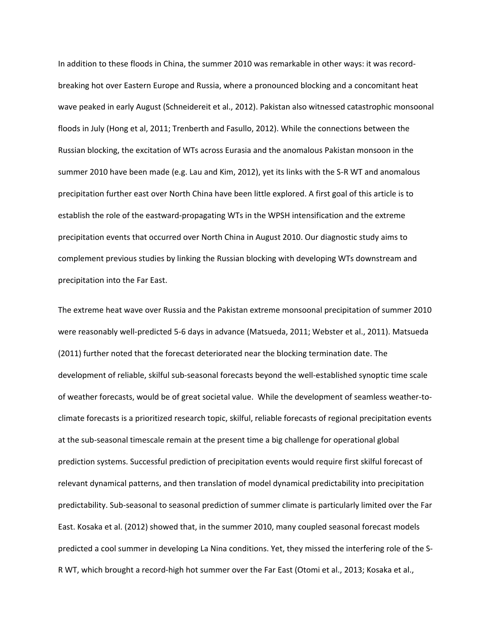In addition to these floods in China, the summer 2010 was remarkable in other ways: it was record‐ breaking hot over Eastern Europe and Russia, where a pronounced blocking and a concomitant heat wave peaked in early August (Schneidereit et al., 2012). Pakistan also witnessed catastrophic monsoonal floods in July (Hong et al, 2011; Trenberth and Fasullo, 2012). While the connections between the Russian blocking, the excitation of WTs across Eurasia and the anomalous Pakistan monsoon in the summer 2010 have been made (e.g. Lau and Kim, 2012), yet its links with the S-R WT and anomalous precipitation further east over North China have been little explored. A first goal of this article is to establish the role of the eastward‐propagating WTs in the WPSH intensification and the extreme precipitation events that occurred over North China in August 2010. Our diagnostic study aims to complement previous studies by linking the Russian blocking with developing WTs downstream and precipitation into the Far East.

The extreme heat wave over Russia and the Pakistan extreme monsoonal precipitation of summer 2010 were reasonably well‐predicted 5‐6 days in advance (Matsueda, 2011; Webster et al., 2011). Matsueda (2011) further noted that the forecast deteriorated near the blocking termination date. The development of reliable, skilful sub‐seasonal forecasts beyond the well‐established synoptic time scale of weather forecasts, would be of great societal value. While the development of seamless weather‐to‐ climate forecasts is a prioritized research topic, skilful, reliable forecasts of regional precipitation events at the sub‐seasonal timescale remain at the present time a big challenge for operational global prediction systems. Successful prediction of precipitation events would require first skilful forecast of relevant dynamical patterns, and then translation of model dynamical predictability into precipitation predictability. Sub‐seasonal to seasonal prediction of summer climate is particularly limited over the Far East. Kosaka et al. (2012) showed that, in the summer 2010, many coupled seasonal forecast models predicted a cool summer in developing La Nina conditions. Yet, they missed the interfering role of the S‐ R WT, which brought a record‐high hot summer over the Far East (Otomi et al., 2013; Kosaka et al.,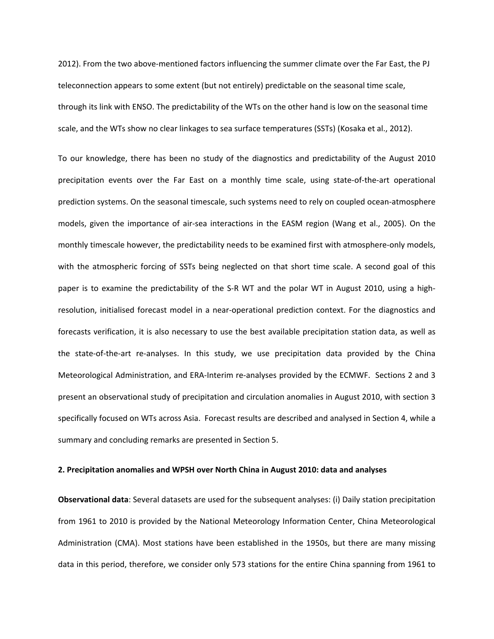2012). From the two above‐mentioned factors influencing the summer climate over the Far East, the PJ teleconnection appears to some extent (but not entirely) predictable on the seasonal time scale, through its link with ENSO. The predictability of the WTs on the other hand is low on the seasonal time scale, and the WTs show no clear linkages to sea surface temperatures (SSTs) (Kosaka et al., 2012).

To our knowledge, there has been no study of the diagnostics and predictability of the August 2010 precipitation events over the Far East on a monthly time scale, using state‐of‐the‐art operational prediction systems. On the seasonal timescale, such systems need to rely on coupled ocean‐atmosphere models, given the importance of air‐sea interactions in the EASM region (Wang et al., 2005). On the monthly timescale however, the predictability needs to be examined first with atmosphere-only models, with the atmospheric forcing of SSTs being neglected on that short time scale. A second goal of this paper is to examine the predictability of the S-R WT and the polar WT in August 2010, using a highresolution, initialised forecast model in a near‐operational prediction context. For the diagnostics and forecasts verification, it is also necessary to use the best available precipitation station data, as well as the state‐of‐the‐art re‐analyses. In this study, we use precipitation data provided by the China Meteorological Administration, and ERA‐Interim re‐analyses provided by the ECMWF. Sections 2 and 3 present an observational study of precipitation and circulation anomalies in August 2010, with section 3 specifically focused on WTs across Asia. Forecast results are described and analysed in Section 4, while a summary and concluding remarks are presented in Section 5.

#### **2. Precipitation anomalies and WPSH over North China in August 2010: data and analyses**

**Observational data**: Several datasets are used for the subsequent analyses: (i) Daily station precipitation from 1961 to 2010 is provided by the National Meteorology Information Center, China Meteorological Administration (CMA). Most stations have been established in the 1950s, but there are many missing data in this period, therefore, we consider only 573 stations for the entire China spanning from 1961 to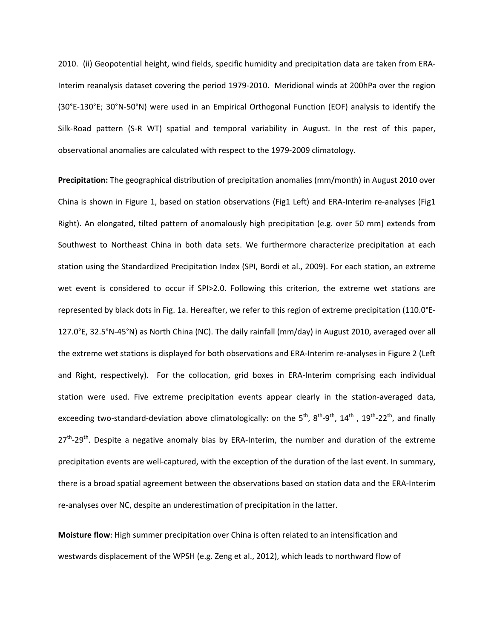2010. (ii) Geopotential height, wind fields, specific humidity and precipitation data are taken from ERA‐ Interim reanalysis dataset covering the period 1979‐2010. Meridional winds at 200hPa over the region (30°E‐130°E; 30°N‐50°N) were used in an Empirical Orthogonal Function (EOF) analysis to identify the Silk-Road pattern (S-R WT) spatial and temporal variability in August. In the rest of this paper, observational anomalies are calculated with respect to the 1979‐2009 climatology.

**Precipitation:** The geographical distribution of precipitation anomalies (mm/month) in August 2010 over China is shown in Figure 1, based on station observations (Fig1 Left) and ERA‐Interim re‐analyses (Fig1 Right). An elongated, tilted pattern of anomalously high precipitation (e.g. over 50 mm) extends from Southwest to Northeast China in both data sets. We furthermore characterize precipitation at each station using the Standardized Precipitation Index (SPI, Bordi et al., 2009). For each station, an extreme wet event is considered to occur if SPI>2.0. Following this criterion, the extreme wet stations are represented by black dots in Fig. 1a. Hereafter, we refer to this region of extreme precipitation (110.0°E‐ 127.0°E, 32.5°N‐45°N) as North China (NC). The daily rainfall (mm/day) in August 2010, averaged over all the extreme wet stations is displayed for both observations and ERA‐Interim re‐analyses in Figure 2 (Left and Right, respectively). For the collocation, grid boxes in ERA-Interim comprising each individual station were used. Five extreme precipitation events appear clearly in the station-averaged data, exceeding two-standard-deviation above climatologically: on the  $5^{th}$ ,  $8^{th}$ - $9^{th}$ ,  $14^{th}$ ,  $19^{th}$ - $22^{th}$ , and finally  $27<sup>th</sup>$ -29<sup>th</sup>. Despite a negative anomaly bias by ERA-Interim, the number and duration of the extreme precipitation events are well‐captured, with the exception of the duration of the last event. In summary, there is a broad spatial agreement between the observations based on station data and the ERA‐Interim re-analyses over NC, despite an underestimation of precipitation in the latter.

**Moisture flow**: High summer precipitation over China is often related to an intensification and westwards displacement of the WPSH (e.g. Zeng et al., 2012), which leads to northward flow of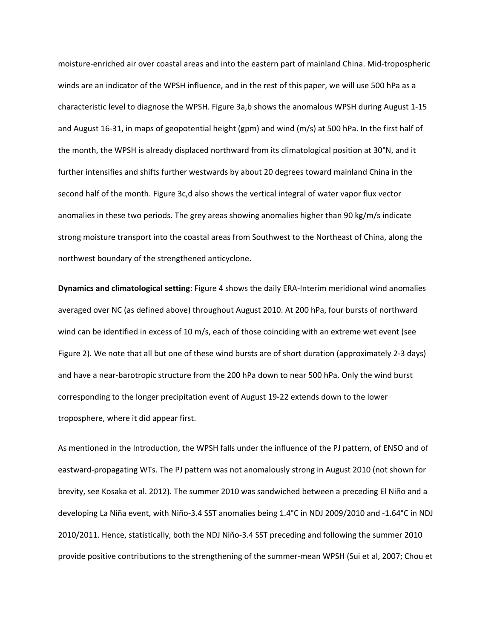moisture‐enriched air over coastal areas and into the eastern part of mainland China. Mid‐tropospheric winds are an indicator of the WPSH influence, and in the rest of this paper, we will use 500 hPa as a characteristic level to diagnose the WPSH. Figure 3a,b shows the anomalous WPSH during August 1‐15 and August 16-31, in maps of geopotential height (gpm) and wind (m/s) at 500 hPa. In the first half of the month, the WPSH is already displaced northward from its climatological position at 30°N, and it further intensifies and shifts further westwards by about 20 degrees toward mainland China in the second half of the month. Figure 3c,d also shows the vertical integral of water vapor flux vector anomalies in these two periods. The grey areas showing anomalies higher than 90 kg/m/s indicate strong moisture transport into the coastal areas from Southwest to the Northeast of China, along the northwest boundary of the strengthened anticyclone.

**Dynamics and climatological setting**: Figure 4 shows the daily ERA‐Interim meridional wind anomalies averaged over NC (as defined above) throughout August 2010. At 200 hPa, four bursts of northward wind can be identified in excess of 10 m/s, each of those coinciding with an extreme wet event (see Figure 2). We note that all but one of these wind bursts are of short duration (approximately 2‐3 days) and have a near-barotropic structure from the 200 hPa down to near 500 hPa. Only the wind burst corresponding to the longer precipitation event of August 19‐22 extends down to the lower troposphere, where it did appear first.

As mentioned in the Introduction, the WPSH falls under the influence of the PJ pattern, of ENSO and of eastward‐propagating WTs. The PJ pattern was not anomalously strong in August 2010 (not shown for brevity, see Kosaka et al. 2012). The summer 2010 was sandwiched between a preceding El Niño and a developing La Niña event, with Niño‐3.4 SST anomalies being 1.4°C in NDJ 2009/2010 and ‐1.64°C in NDJ 2010/2011. Hence, statistically, both the NDJ Niño‐3.4 SST preceding and following the summer 2010 provide positive contributions to the strengthening of the summer‐mean WPSH (Sui et al, 2007; Chou et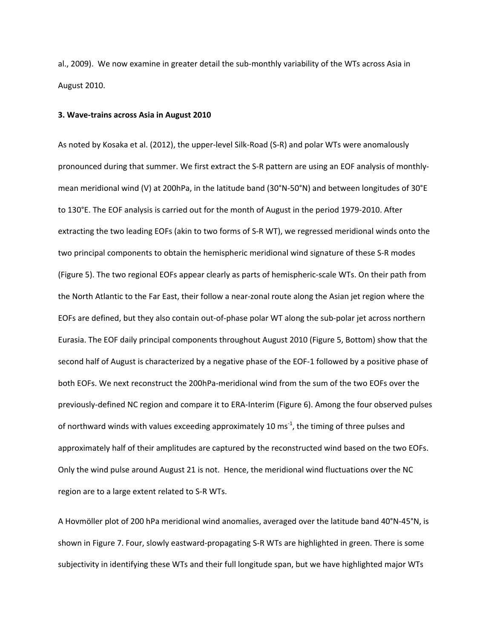al., 2009). We now examine in greater detail the sub‐monthly variability of the WTs across Asia in August 2010.

#### **3. Wave‐trains across Asia in August 2010**

As noted by Kosaka et al. (2012), the upper‐level Silk‐Road (S‐R) and polar WTs were anomalously pronounced during that summer. We first extract the S‐R pattern are using an EOF analysis of monthly‐ mean meridional wind (V) at 200hPa, in the latitude band (30°N‐50°N) and between longitudes of 30°E to 130°E. The EOF analysis is carried out for the month of August in the period 1979‐2010. After extracting the two leading EOFs (akin to two forms of S‐R WT), we regressed meridional winds onto the two principal components to obtain the hemispheric meridional wind signature of these S‐R modes (Figure 5). The two regional EOFs appear clearly as parts of hemispheric‐scale WTs. On their path from the North Atlantic to the Far East, their follow a near‐zonal route along the Asian jet region where the EOFs are defined, but they also contain out‐of‐phase polar WT along the sub‐polar jet across northern Eurasia. The EOF daily principal components throughout August 2010 (Figure 5, Bottom) show that the second half of August is characterized by a negative phase of the EOF‐1 followed by a positive phase of both EOFs. We next reconstruct the 200hPa-meridional wind from the sum of the two EOFs over the previously‐defined NC region and compare it to ERA‐Interim (Figure 6). Among the four observed pulses of northward winds with values exceeding approximately 10 ms<sup>-1</sup>, the timing of three pulses and approximately half of their amplitudes are captured by the reconstructed wind based on the two EOFs. Only the wind pulse around August 21 is not. Hence, the meridional wind fluctuations over the NC region are to a large extent related to S‐R WTs.

A Hovmöller plot of 200 hPa meridional wind anomalies, averaged over the latitude band 40°N‐45°N, is shown in Figure 7. Four, slowly eastward‐propagating S‐R WTs are highlighted in green. There is some subjectivity in identifying these WTs and their full longitude span, but we have highlighted major WTs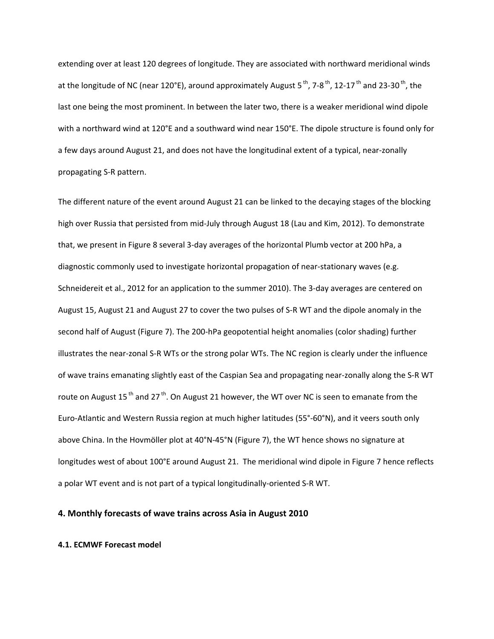extending over at least 120 degrees of longitude. They are associated with northward meridional winds at the longitude of NC (near 120°E), around approximately August 5<sup>th</sup>, 7-8<sup>th</sup>, 12-17<sup>th</sup> and 23-30<sup>th</sup>, the last one being the most prominent. In between the later two, there is a weaker meridional wind dipole with a northward wind at 120°E and a southward wind near 150°E. The dipole structure is found only for a few days around August 21, and does not have the longitudinal extent of a typical, near‐zonally propagating S‐R pattern.

The different nature of the event around August 21 can be linked to the decaying stages of the blocking high over Russia that persisted from mid‐July through August 18 (Lau and Kim, 2012). To demonstrate that, we present in Figure 8 several 3‐day averages of the horizontal Plumb vector at 200 hPa, a diagnostic commonly used to investigate horizontal propagation of near-stationary waves (e.g. Schneidereit et al., 2012 for an application to the summer 2010). The 3-day averages are centered on August 15, August 21 and August 27 to cover the two pulses of S‐R WT and the dipole anomaly in the second half of August (Figure 7). The 200-hPa geopotential height anomalies (color shading) further illustrates the near‐zonal S‐R WTs or the strong polar WTs. The NC region is clearly under the influence of wave trains emanating slightly east of the Caspian Sea and propagating near‐zonally along the S‐R WT route on August 15<sup>th</sup> and 27<sup>th</sup>. On August 21 however, the WT over NC is seen to emanate from the Euro‐Atlantic and Western Russia region at much higher latitudes (55°‐60°N), and it veers south only above China. In the Hovmöller plot at 40°N-45°N (Figure 7), the WT hence shows no signature at longitudes west of about 100°E around August 21. The meridional wind dipole in Figure 7 hence reflects a polar WT event and is not part of a typical longitudinally‐oriented S‐R WT.

#### **4. Monthly forecasts of wave trains across Asia in August 2010**

#### **4.1. ECMWF Forecast model**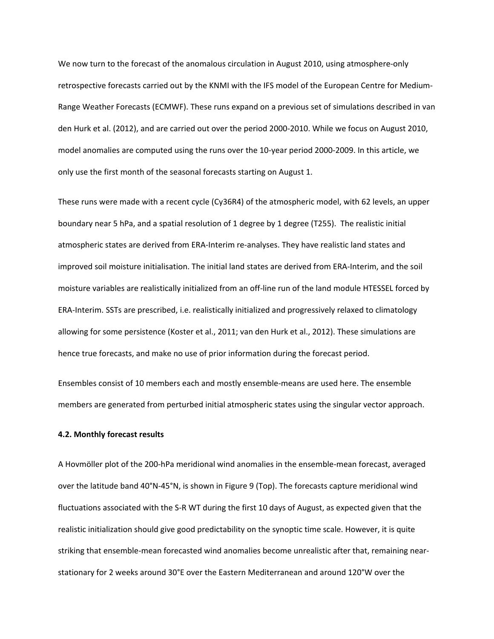We now turn to the forecast of the anomalous circulation in August 2010, using atmosphere-only retrospective forecasts carried out by the KNMI with the IFS model of the European Centre for Medium‐ Range Weather Forecasts (ECMWF). These runs expand on a previous set of simulations described in van den Hurk et al. (2012), and are carried out over the period 2000‐2010. While we focus on August 2010, model anomalies are computed using the runs over the 10‐year period 2000‐2009. In this article, we only use the first month of the seasonal forecasts starting on August 1.

These runs were made with a recent cycle (Cy36R4) of the atmospheric model, with 62 levels, an upper boundary near 5 hPa, and a spatial resolution of 1 degree by 1 degree (T255). The realistic initial atmospheric states are derived from ERA‐Interim re‐analyses. They have realistic land states and improved soil moisture initialisation. The initial land states are derived from ERA‐Interim, and the soil moisture variables are realistically initialized from an off-line run of the land module HTESSEL forced by ERA‐Interim. SSTs are prescribed, i.e. realistically initialized and progressively relaxed to climatology allowing for some persistence (Koster et al., 2011; van den Hurk et al., 2012). These simulations are hence true forecasts, and make no use of prior information during the forecast period.

Ensembles consist of 10 members each and mostly ensemble‐means are used here. The ensemble members are generated from perturbed initial atmospheric states using the singular vector approach.

#### **4.2. Monthly forecast results**

A Hovmöller plot of the 200‐hPa meridional wind anomalies in the ensemble‐mean forecast, averaged over the latitude band 40°N‐45°N, is shown in Figure 9 (Top). The forecasts capture meridional wind fluctuations associated with the S‐R WT during the first 10 days of August, as expected given that the realistic initialization should give good predictability on the synoptic time scale. However, it is quite striking that ensemble‐mean forecasted wind anomalies become unrealistic after that, remaining near‐ stationary for 2 weeks around 30°E over the Eastern Mediterranean and around 120°W over the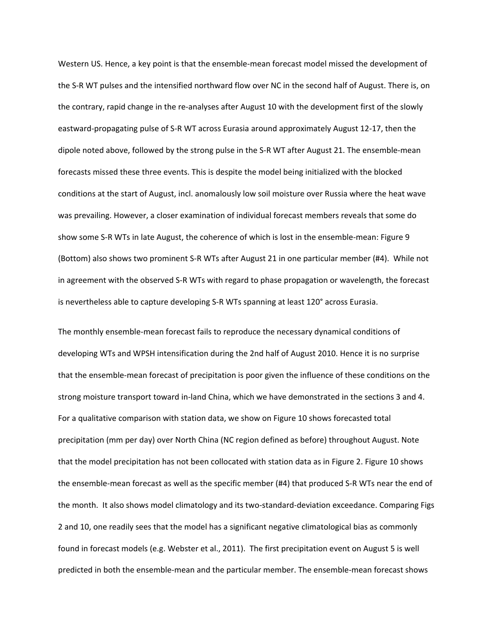Western US. Hence, a key point is that the ensemble‐mean forecast model missed the development of the S‐R WT pulses and the intensified northward flow over NC in the second half of August. There is, on the contrary, rapid change in the re‐analyses after August 10 with the development first of the slowly eastward‐propagating pulse of S‐R WT across Eurasia around approximately August 12‐17, then the dipole noted above, followed by the strong pulse in the S-R WT after August 21. The ensemble-mean forecasts missed these three events. This is despite the model being initialized with the blocked conditions at the start of August, incl. anomalously low soil moisture over Russia where the heat wave was prevailing. However, a closer examination of individual forecast members reveals that some do show some S-R WTs in late August, the coherence of which is lost in the ensemble-mean: Figure 9 (Bottom) also shows two prominent S‐R WTs after August 21 in one particular member (#4). While not in agreement with the observed S‐R WTs with regard to phase propagation or wavelength, the forecast is nevertheless able to capture developing S‐R WTs spanning at least 120° across Eurasia.

The monthly ensemble‐mean forecast fails to reproduce the necessary dynamical conditions of developing WTs and WPSH intensification during the 2nd half of August 2010. Hence it is no surprise that the ensemble‐mean forecast of precipitation is poor given the influence of these conditions on the strong moisture transport toward in‐land China, which we have demonstrated in the sections 3 and 4. For a qualitative comparison with station data, we show on Figure 10 shows forecasted total precipitation (mm per day) over North China (NC region defined as before) throughout August. Note that the model precipitation has not been collocated with station data as in Figure 2. Figure 10 shows the ensemble-mean forecast as well as the specific member (#4) that produced S-R WTs near the end of the month. It also shows model climatology and its two-standard-deviation exceedance. Comparing Figs 2 and 10, one readily sees that the model has a significant negative climatological bias as commonly found in forecast models (e.g. Webster et al., 2011). The first precipitation event on August 5 is well predicted in both the ensemble‐mean and the particular member. The ensemble‐mean forecast shows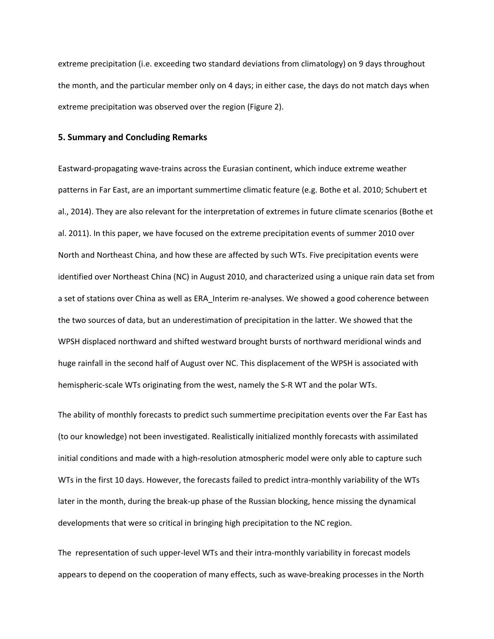extreme precipitation (i.e. exceeding two standard deviations from climatology) on 9 days throughout the month, and the particular member only on 4 days; in either case, the days do not match days when extreme precipitation was observed over the region (Figure 2).

#### **5. Summary and Concluding Remarks**

Eastward‐propagating wave‐trains across the Eurasian continent, which induce extreme weather patterns in Far East, are an important summertime climatic feature (e.g. Bothe et al. 2010; Schubert et al., 2014). They are also relevant for the interpretation of extremes in future climate scenarios (Bothe et al. 2011). In this paper, we have focused on the extreme precipitation events of summer 2010 over North and Northeast China, and how these are affected by such WTs. Five precipitation events were identified over Northeast China (NC) in August 2010, and characterized using a unique rain data set from a set of stations over China as well as ERA Interim re-analyses. We showed a good coherence between the two sources of data, but an underestimation of precipitation in the latter. We showed that the WPSH displaced northward and shifted westward brought bursts of northward meridional winds and huge rainfall in the second half of August over NC. This displacement of the WPSH is associated with hemispheric-scale WTs originating from the west, namely the S-R WT and the polar WTs.

The ability of monthly forecasts to predict such summertime precipitation events over the Far East has (to our knowledge) not been investigated. Realistically initialized monthly forecasts with assimilated initial conditions and made with a high-resolution atmospheric model were only able to capture such WTs in the first 10 days. However, the forecasts failed to predict intra-monthly variability of the WTs later in the month, during the break‐up phase of the Russian blocking, hence missing the dynamical developments that were so critical in bringing high precipitation to the NC region.

The representation of such upper‐level WTs and their intra‐monthly variability in forecast models appears to depend on the cooperation of many effects, such as wave‐breaking processes in the North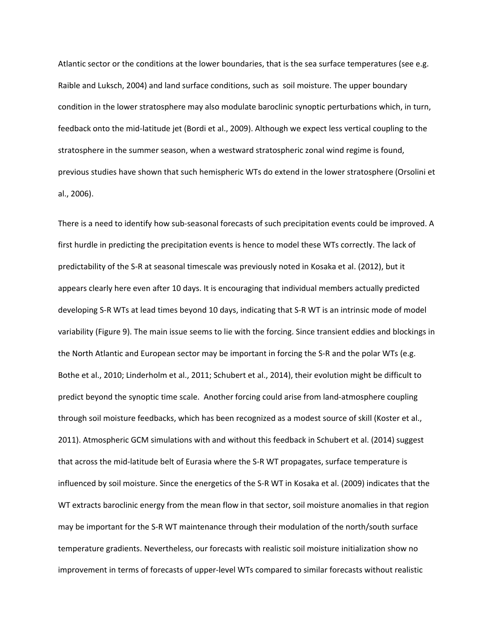Atlantic sector or the conditions at the lower boundaries, that is the sea surface temperatures (see e.g. Raible and Luksch, 2004) and land surface conditions, such as soil moisture. The upper boundary condition in the lower stratosphere may also modulate baroclinic synoptic perturbations which, in turn, feedback onto the mid‐latitude jet (Bordi et al., 2009). Although we expect less vertical coupling to the stratosphere in the summer season, when a westward stratospheric zonal wind regime is found, previous studies have shown that such hemispheric WTs do extend in the lower stratosphere (Orsolini et al., 2006).

There is a need to identify how sub-seasonal forecasts of such precipitation events could be improved. A first hurdle in predicting the precipitation events is hence to model these WTs correctly. The lack of predictability of the S‐R at seasonal timescale was previously noted in Kosaka et al. (2012), but it appears clearly here even after 10 days. It is encouraging that individual members actually predicted developing S‐R WTs at lead times beyond 10 days, indicating that S‐R WT is an intrinsic mode of model variability (Figure 9). The main issue seems to lie with the forcing. Since transient eddies and blockings in the North Atlantic and European sector may be important in forcing the S‐R and the polar WTs (e.g. Bothe et al., 2010; Linderholm et al., 2011; Schubert et al., 2014), their evolution might be difficult to predict beyond the synoptic time scale. Another forcing could arise from land‐atmosphere coupling through soil moisture feedbacks, which has been recognized as a modest source of skill (Koster et al., 2011). Atmospheric GCM simulations with and without this feedback in Schubert et al. (2014) suggest that across the mid-latitude belt of Eurasia where the S-R WT propagates, surface temperature is influenced by soil moisture. Since the energetics of the S‐R WT in Kosaka et al. (2009) indicates that the WT extracts baroclinic energy from the mean flow in that sector, soil moisture anomalies in that region may be important for the S‐R WT maintenance through their modulation of the north/south surface temperature gradients. Nevertheless, our forecasts with realistic soil moisture initialization show no improvement in terms of forecasts of upper-level WTs compared to similar forecasts without realistic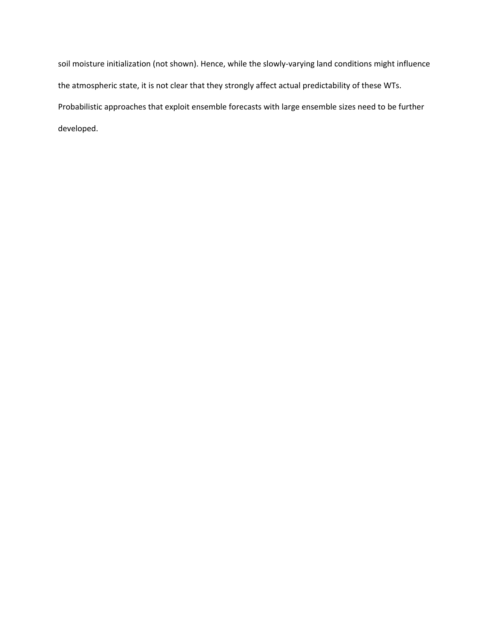soil moisture initialization (not shown). Hence, while the slowly‐varying land conditions might influence the atmospheric state, it is not clear that they strongly affect actual predictability of these WTs. Probabilistic approaches that exploit ensemble forecasts with large ensemble sizes need to be further developed.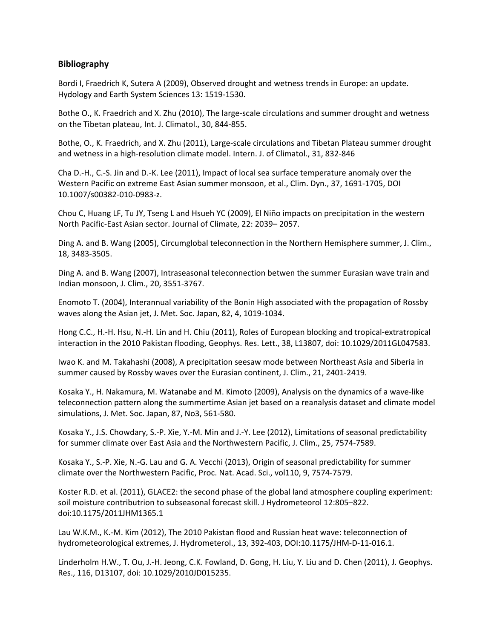### **Bibliography**

Bordi I, Fraedrich K, Sutera A (2009), Observed drought and wetness trends in Europe: an update. Hydology and Earth System Sciences 13: 1519‐1530.

Bothe O., K. Fraedrich and X. Zhu (2010), The large-scale circulations and summer drought and wetness on the Tibetan plateau, Int. J. Climatol., 30, 844‐855.

Bothe, O., K. Fraedrich, and X. Zhu (2011), Large‐scale circulations and Tibetan Plateau summer drought and wetness in a high-resolution climate model. Intern. J. of Climatol., 31, 832-846

Cha D.‐H., C.‐S. Jin and D.‐K. Lee (2011), Impact of local sea surface temperature anomaly over the Western Pacific on extreme East Asian summer monsoon, et al., Clim. Dyn., 37, 1691‐1705, DOI 10.1007/s00382‐010‐0983‐z.

Chou C, Huang LF, Tu JY, Tseng L and Hsueh YC (2009), El Niño impacts on precipitation in the western North Pacific‐East Asian sector. Journal of Climate, 22: 2039– 2057.

Ding A. and B. Wang (2005), Circumglobal teleconnection in the Northern Hemisphere summer, J. Clim., 18, 3483‐3505.

Ding A. and B. Wang (2007), Intraseasonal teleconnection betwen the summer Eurasian wave train and Indian monsoon, J. Clim., 20, 3551‐3767.

Enomoto T. (2004), Interannual variability of the Bonin High associated with the propagation of Rossby waves along the Asian jet, J. Met. Soc. Japan, 82, 4, 1019‐1034.

Hong C.C., H.‐H. Hsu, N.‐H. Lin and H. Chiu (2011), Roles of European blocking and tropical‐extratropical interaction in the 2010 Pakistan flooding, Geophys. Res. Lett., 38, L13807, doi: 10.1029/2011GL047583.

Iwao K. and M. Takahashi (2008), A precipitation seesaw mode between Northeast Asia and Siberia in summer caused by Rossby waves over the Eurasian continent, J. Clim., 21, 2401-2419.

Kosaka Y., H. Nakamura, M. Watanabe and M. Kimoto (2009), Analysis on the dynamics of a wave‐like teleconnection pattern along the summertime Asian jet based on a reanalysis dataset and climate model simulations, J. Met. Soc. Japan, 87, No3, 561‐580.

Kosaka Y., J.S. Chowdary, S.‐P. Xie, Y.‐M. Min and J.‐Y. Lee (2012), Limitations of seasonal predictability for summer climate over East Asia and the Northwestern Pacific, J. Clim., 25, 7574‐7589.

Kosaka Y., S.‐P. Xie, N.‐G. Lau and G. A. Vecchi (2013), Origin of seasonal predictability for summer climate over the Northwestern Pacific, Proc. Nat. Acad. Sci., vol110, 9, 7574‐7579.

Koster R.D. et al. (2011), GLACE2: the second phase of the global land atmosphere coupling experiment: soil moisture contributrion to subseasonal forecast skill. J Hydrometeorol 12:805–822. doi:10.1175/2011JHM1365.1

Lau W.K.M., K.‐M. Kim (2012), The 2010 Pakistan flood and Russian heat wave: teleconnection of hydrometeorological extremes, J. Hydrometerol., 13, 392‐403, DOI:10.1175/JHM‐D‐11‐016.1.

Linderholm H.W., T. Ou, J.‐H. Jeong, C.K. Fowland, D. Gong, H. Liu, Y. Liu and D. Chen (2011), J. Geophys. Res., 116, D13107, doi: 10.1029/2010JD015235.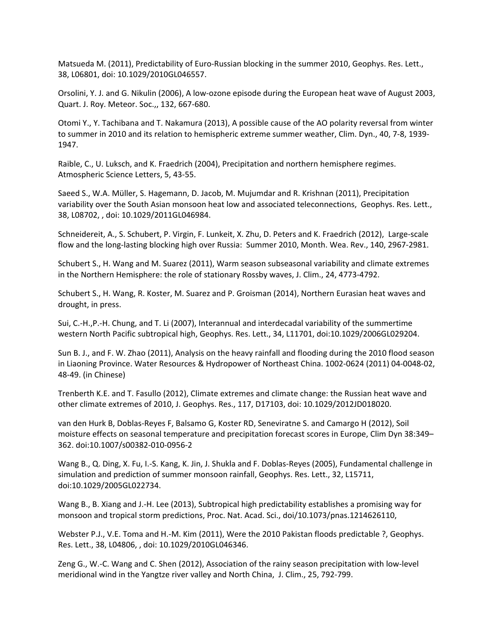Matsueda M. (2011), Predictability of Euro-Russian blocking in the summer 2010, Geophys. Res. Lett., 38, L06801, doi: 10.1029/2010GL046557.

Orsolini, Y. J. and G. Nikulin (2006), A low‐ozone episode during the European heat wave of August 2003, Quart. J. Roy. Meteor. Soc.,, 132, 667‐680.

Otomi Y., Y. Tachibana and T. Nakamura (2013), A possible cause of the AO polarity reversal from winter to summer in 2010 and its relation to hemispheric extreme summer weather, Clim. Dyn., 40, 7‐8, 1939‐ 1947.

Raible, C., U. Luksch, and K. Fraedrich (2004), Precipitation and northern hemisphere regimes. Atmospheric Science Letters, 5, 43‐55.

Saeed S., W.A. Müller, S. Hagemann, D. Jacob, M. Mujumdar and R. Krishnan (2011), Precipitation variability over the South Asian monsoon heat low and associated teleconnections, Geophys. Res. Lett., 38, L08702, , doi: 10.1029/2011GL046984.

Schneidereit, A., S. Schubert, P. Virgin, F. Lunkeit, X. Zhu, D. Peters and K. Fraedrich (2012), Large‐scale flow and the long‐lasting blocking high over Russia: Summer 2010, Month. Wea. Rev., 140, 2967‐2981.

Schubert S., H. Wang and M. Suarez (2011), Warm season subseasonal variability and climate extremes in the Northern Hemisphere: the role of stationary Rossby waves, J. Clim., 24, 4773-4792.

Schubert S., H. Wang, R. Koster, M. Suarez and P. Groisman (2014), Northern Eurasian heat waves and drought, in press.

Sui, C.‐H.,P.‐H. Chung, and T. Li (2007), Interannual and interdecadal variability of the summertime western North Pacific subtropical high, Geophys. Res. Lett., 34, L11701, doi:10.1029/2006GL029204.

Sun B. J., and F. W. Zhao (2011), Analysis on the heavy rainfall and flooding during the 2010 flood season in Liaoning Province. Water Resources & Hydropower of Northeast China. 1002‐0624 (2011) 04‐0048‐02, 48‐49. (in Chinese)

Trenberth K.E. and T. Fasullo (2012), Climate extremes and climate change: the Russian heat wave and other climate extremes of 2010, J. Geophys. Res., 117, D17103, doi: 10.1029/2012JD018020.

van den Hurk B, Doblas‐Reyes F, Balsamo G, Koster RD, Seneviratne S. and Camargo H (2012), Soil moisture effects on seasonal temperature and precipitation forecast scores in Europe, Clim Dyn 38:349– 362. doi:10.1007/s00382‐010‐0956‐2

Wang B., Q. Ding, X. Fu, I.‐S. Kang, K. Jin, J. Shukla and F. Doblas‐Reyes (2005), Fundamental challenge in simulation and prediction of summer monsoon rainfall, Geophys. Res. Lett., 32, L15711, doi:10.1029/2005GL022734.

Wang B., B. Xiang and J.‐H. Lee (2013), Subtropical high predictability establishes a promising way for monsoon and tropical storm predictions, Proc. Nat. Acad. Sci., doi/10.1073/pnas.1214626110,

Webster P.J., V.E. Toma and H.‐M. Kim (2011), Were the 2010 Pakistan floods predictable ?, Geophys. Res. Lett., 38, L04806, , doi: 10.1029/2010GL046346.

Zeng G., W.‐C. Wang and C. Shen (2012), Association of the rainy season precipitation with low‐level meridional wind in the Yangtze river valley and North China, J. Clim., 25, 792‐799.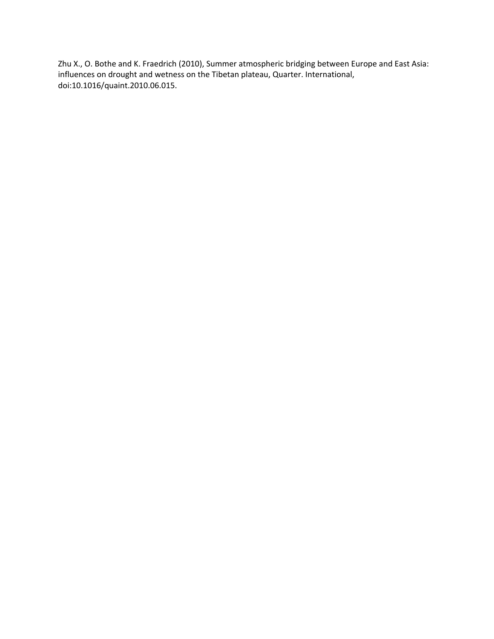Zhu X., O. Bothe and K. Fraedrich (2010), Summer atmospheric bridging between Europe and East Asia: influences on drought and wetness on the Tibetan plateau, Quarter. International, doi:10.1016/quaint.2010.06.015.